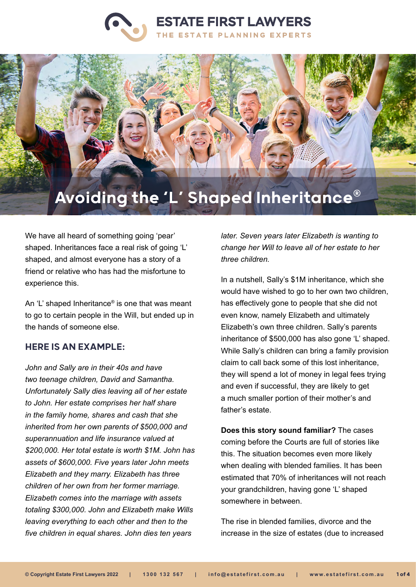# **ESTATE FIRST LAWYERS** THE ESTATE PLANNING EXPERTS



We have all heard of something going 'pear' shaped. Inheritances face a real risk of going 'L' shaped, and almost everyone has a story of a friend or relative who has had the misfortune to experience this.

An 'L' shaped Inheritance® is one that was meant to go to certain people in the Will, but ended up in the hands of someone else.

#### HERE IS AN EXAMPLE:

*John and Sally are in their 40s and have two teenage children, David and Samantha. Unfortunately Sally dies leaving all of her estate to John. Her estate comprises her half share in the family home, shares and cash that she inherited from her own parents of \$500,000 and superannuation and life insurance valued at \$200,000. Her total estate is worth \$1M. John has assets of \$600,000. Five years later John meets Elizabeth and they marry. Elizabeth has three children of her own from her former marriage. Elizabeth comes into the marriage with assets totaling \$300,000. John and Elizabeth make Wills leaving everything to each other and then to the five children in equal shares. John dies ten years* 

*later. Seven years later Elizabeth is wanting to change her Will to leave all of her estate to her three children.*

In a nutshell, Sally's \$1M inheritance, which she would have wished to go to her own two children, has effectively gone to people that she did not even know, namely Elizabeth and ultimately Elizabeth's own three children. Sally's parents inheritance of \$500,000 has also gone 'L' shaped. While Sally's children can bring a family provision claim to call back some of this lost inheritance, they will spend a lot of money in legal fees trying and even if successful, they are likely to get a much smaller portion of their mother's and father's estate.

**Does this story sound familiar?** The cases coming before the Courts are full of stories like this. The situation becomes even more likely when dealing with blended families. It has been estimated that 70% of inheritances will not reach your grandchildren, having gone 'L' shaped somewhere in between.

The rise in blended families, divorce and the increase in the size of estates (due to increased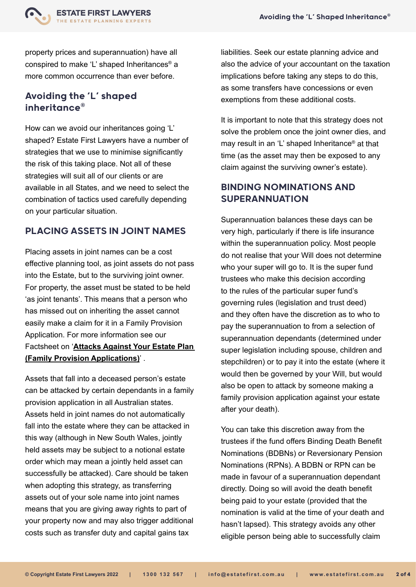

property prices and superannuation) have all conspired to make 'L' shaped Inheritances® a more common occurrence than ever before.

## Avoiding the 'L' shaped inheritance®

How can we avoid our inheritances going 'L' shaped? Estate First Lawyers have a number of strategies that we use to minimise significantly the risk of this taking place. Not all of these strategies will suit all of our clients or are available in all States, and we need to select the combination of tactics used carefully depending on your particular situation.

#### PLACING ASSETS IN JOINT NAMES

Placing assets in joint names can be a cost effective planning tool, as joint assets do not pass into the Estate, but to the surviving joint owner. For property, the asset must be stated to be held 'as joint tenants'. This means that a person who has missed out on inheriting the asset cannot easily make a claim for it in a Family Provision Application. For more information see our Factsheet on '**[Attacks Against Your Estate Plan](https://www.estatefirst.com.au/estate-planning/estate-claims-advice)  [\(Family Provision Applications\)](https://www.estatefirst.com.au/estate-planning/estate-claims-advice)**' .

Assets that fall into a deceased person's estate can be attacked by certain dependants in a family provision application in all Australian states. Assets held in joint names do not automatically fall into the estate where they can be attacked in this way (although in New South Wales, jointly held assets may be subject to a notional estate order which may mean a jointly held asset can successfully be attacked). Care should be taken when adopting this strategy, as transferring assets out of your sole name into joint names means that you are giving away rights to part of your property now and may also trigger additional costs such as transfer duty and capital gains tax

liabilities. Seek our estate planning advice and also the advice of your accountant on the taxation implications before taking any steps to do this, as some transfers have concessions or even exemptions from these additional costs.

It is important to note that this strategy does not solve the problem once the joint owner dies, and may result in an 'L' shaped Inheritance® at that time (as the asset may then be exposed to any claim against the surviving owner's estate).

# BINDING NOMINATIONS AND SUPERANNUATION

Superannuation balances these days can be very high, particularly if there is life insurance within the superannuation policy. Most people do not realise that your Will does not determine who your super will go to. It is the super fund trustees who make this decision according to the rules of the particular super fund's governing rules (legislation and trust deed) and they often have the discretion as to who to pay the superannuation to from a selection of superannuation dependants (determined under super legislation including spouse, children and stepchildren) or to pay it into the estate (where it would then be governed by your Will, but would also be open to attack by someone making a family provision application against your estate after your death).

You can take this discretion away from the trustees if the fund offers Binding Death Benefit Nominations (BDBNs) or Reversionary Pension Nominations (RPNs). A BDBN or RPN can be made in favour of a superannuation dependant directly. Doing so will avoid the death benefit being paid to your estate (provided that the nomination is valid at the time of your death and hasn't lapsed). This strategy avoids any other eligible person being able to successfully claim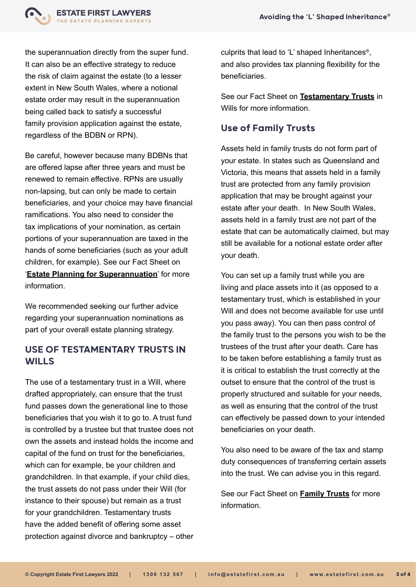the superannuation directly from the super fund. It can also be an effective strategy to reduce the risk of claim against the estate (to a lesser extent in New South Wales, where a notional estate order may result in the superannuation being called back to satisfy a successful family provision application against the estate, regardless of the BDBN or RPN).

**ESTATE FIRST LAWYERS STATE PLANNING EXPERTS** 

Be careful, however because many BDBNs that are offered lapse after three years and must be renewed to remain effective. RPNs are usually non-lapsing, but can only be made to certain beneficiaries, and your choice may have financial ramifications. You also need to consider the tax implications of your nomination, as certain portions of your superannuation are taxed in the hands of some beneficiaries (such as your adult children, for example). See our Fact Sheet on '**[Estate Planning for Superannuation](https://www.estatefirst.com.au/estate-planning/superannuation)**' for more information.

We recommended seeking our further advice regarding your superannuation nominations as part of your overall estate planning strategy.

#### USE OF TESTAMENTARY TRUSTS IN **WILLS**

The use of a testamentary trust in a Will, where drafted appropriately, can ensure that the trust fund passes down the generational line to those beneficiaries that you wish it to go to. A trust fund is controlled by a trustee but that trustee does not own the assets and instead holds the income and capital of the fund on trust for the beneficiaries, which can for example, be your children and grandchildren. In that example, if your child dies, the trust assets do not pass under their Will (for instance to their spouse) but remain as a trust for your grandchildren. Testamentary trusts have the added benefit of offering some asset protection against divorce and bankruptcy – other culprits that lead to 'L' shaped Inheritances®, and also provides tax planning flexibility for the beneficiaries.

See our Fact Sheet on **[Testamentary Trusts](https://www.estatefirst.com.au/estate-planning/testamentary-trust-wills)** in Wills for more information

### Use of Family Trusts

Assets held in family trusts do not form part of your estate. In states such as Queensland and Victoria, this means that assets held in a family trust are protected from any family provision application that may be brought against your estate after your death. In New South Wales, assets held in a family trust are not part of the estate that can be automatically claimed, but may still be available for a notional estate order after your death.

You can set up a family trust while you are living and place assets into it (as opposed to a testamentary trust, which is established in your Will and does not become available for use until you pass away). You can then pass control of the family trust to the persons you wish to be the trustees of the trust after your death. Care has to be taken before establishing a family trust as it is critical to establish the trust correctly at the outset to ensure that the control of the trust is properly structured and suitable for your needs, as well as ensuring that the control of the trust can effectively be passed down to your intended beneficiaries on your death.

You also need to be aware of the tax and stamp duty consequences of transferring certain assets into the trust. We can advise you in this regard.

See our Fact Sheet on **[Family Trusts](https://www.estatefirst.com.au/estate-planning/family-trust-business-structures)** for more information.